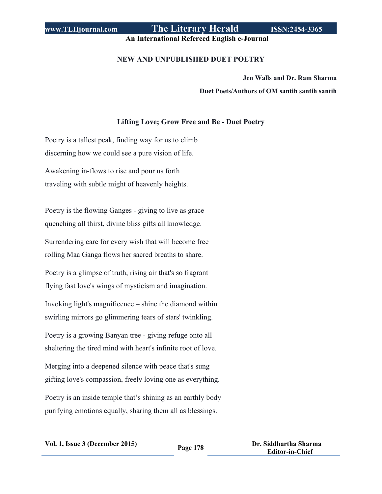# **www.TLHjournal.com The Literary Herald ISSN:2454-3365**

**An International Refereed English e-Journal**

### **NEW AND UNPUBLISHED DUET POETRY**

**Jen Walls and Dr. Ram Sharma Duet Poets/Authors of OM santih santih santih**

## **Lifting Love; Grow Free and Be - Duet Poetry**

Poetry is a tallest peak, finding way for us to climb discerning how we could see a pure vision of life.

Awakening in-flows to rise and pour us forth traveling with subtle might of heavenly heights.

Poetry is the flowing Ganges - giving to live as grace quenching all thirst, divine bliss gifts all knowledge.

Surrendering care for every wish that will become free rolling Maa Ganga flows her sacred breaths to share.

Poetry is a glimpse of truth, rising air that's so fragrant flying fast love's wings of mysticism and imagination.

Invoking light's magnificence – shine the diamond within swirling mirrors go glimmering tears of stars' twinkling.

Poetry is a growing Banyan tree - giving refuge onto all sheltering the tired mind with heart's infinite root of love.

Merging into a deepened silence with peace that's sung gifting love's compassion, freely loving one as everything.

Poetry is an inside temple that's shining as an earthly body purifying emotions equally, sharing them all as blessings.